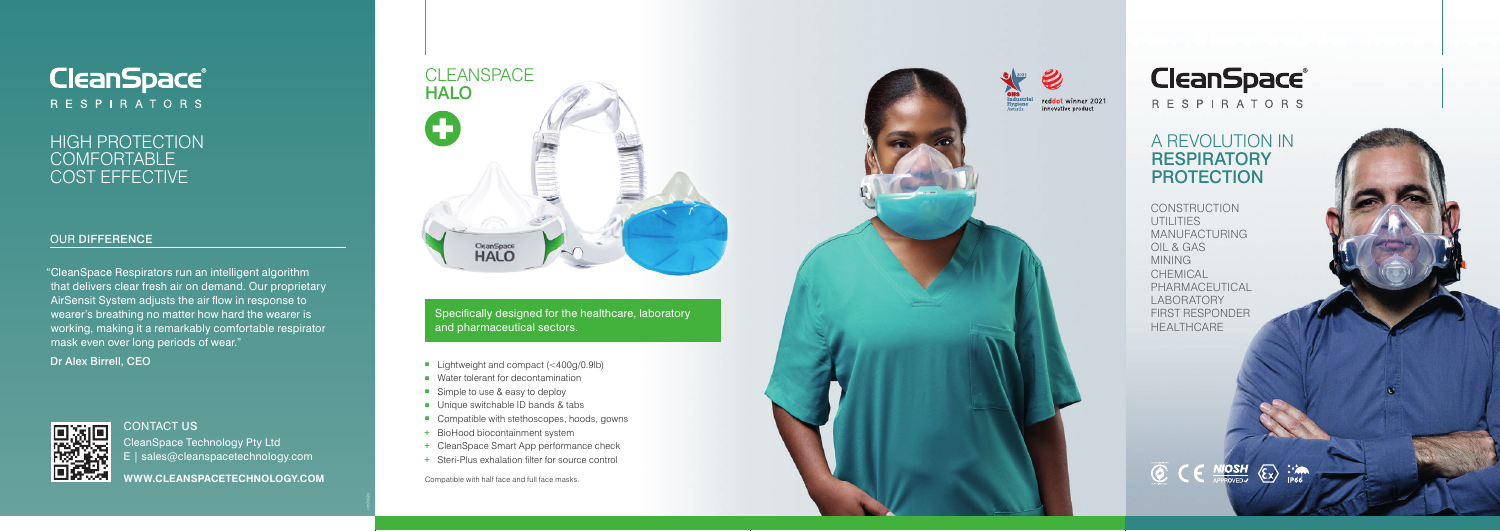## A REVOLUTION IN **RESPIRATORY** PROTECTION



## HIGH PROTECTION **COMFORTABLE** COST EFFECTIVE

#### OUR DIFFERENCE

CONTACT US

CleanSpace Technology Pty Ltd E | sales@cleanspacetechnology.com

**WWW.CLEANSPACETECHNOLOGY.COM**

- Elightweight and compact  $( $400q/0.9lb$ )$
- Water tolerant for decontamination
- Simple to use & easy to deploy
- $\blacksquare$  Unique switchable ID bands & tabs
- $\blacksquare$  Compatible with stethoscopes, hoods, gowns
- + BioHood biocontainment system
- + CleanSpace Smart App performance check
- + Steri-Plus exhalation filter for source control

Compatible with half face and full face masks.





**RESPIRATORS** 

Specifically designed for the healthcare, laboratory and pharmaceutical sectors.

CONSTRUCTION UTILITIES MANUFACTURING OIL & GAS MINING CHEMICAL PHARMACEUTICAL LABORATORY FIRST RESPONDER HEALTHCARE



"CleanSpace Respirators run an intelligent algorithm that delivers clear fresh air on demand. Our proprietary AirSensit System adjusts the air flow in response to wearer's breathing no matter how hard the wearer is working, making it a remarkably comfortable respirator mask even over long periods of wear."

Dr Alex Birrell, CEO